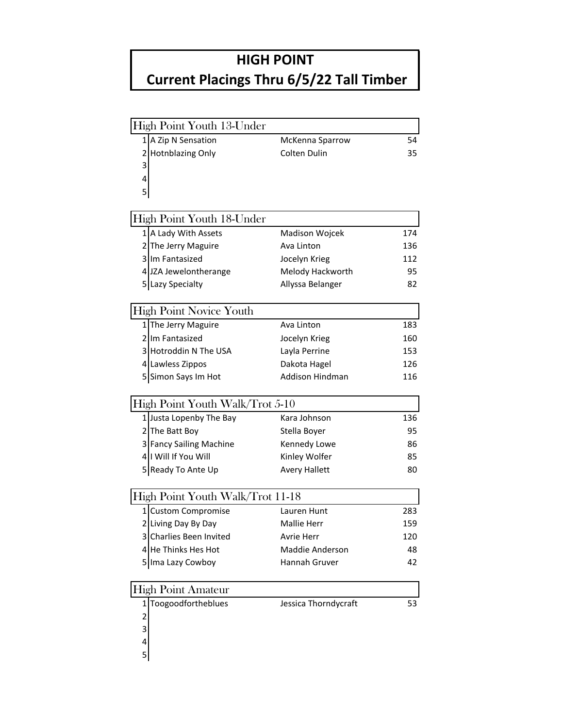## **HIGH POINT**

## **Current Placings Thru 6/5/22 Tall Timber**

| 1 A Zip N Sensation<br>McKenna Sparrow                 | 54  |
|--------------------------------------------------------|-----|
| 2 Hotnblazing Only<br>Colten Dulin                     | 35  |
| 3                                                      |     |
| 4                                                      |     |
| 5                                                      |     |
| High Point Youth 18-Under                              |     |
| 1 A Lady With Assets<br>Madison Wojcek                 | 174 |
| 2 The Jerry Maguire<br>Ava Linton                      | 136 |
| 3 Im Fantasized<br>Jocelyn Krieg                       | 112 |
| 4 JZA Jewelontherange<br>Melody Hackworth              | 95  |
| 5 Lazy Specialty<br>Allyssa Belanger                   | 82  |
|                                                        |     |
| <b>High Point Novice Youth</b>                         |     |
| 1 The Jerry Maguire<br>Ava Linton                      | 183 |
| 2 Im Fantasized<br>Jocelyn Krieg                       | 160 |
| 3 Hotroddin N The USA<br>Layla Perrine                 | 153 |
| 4 Lawless Zippos<br>Dakota Hagel                       | 126 |
| <b>Addison Hindman</b><br>5 Simon Says Im Hot          | 116 |
| High Point Youth Walk/Trot 5-10                        |     |
| 1 Justa Lopenby The Bay<br>Kara Johnson                | 136 |
| 2 The Batt Boy<br>Stella Boyer                         | 95  |
| 3 Fancy Sailing Machine<br>Kennedy Lowe                | 86  |
| 4   Will If You Will<br>Kinley Wolfer                  | 85  |
| Ready To Ante Up<br><b>Avery Hallett</b><br>51         | 80  |
|                                                        |     |
| High Point Youth Walk/Trot 11-18                       |     |
| 1 Custom Compromise<br>Lauren Hunt                     | 283 |
| 2 Living Day By Day<br>Mallie Herr                     | 159 |
| 3 Charlies Been Invited<br>Avrie Herr                  | 120 |
| 4 He Thinks Hes Hot<br>Maddie Anderson                 | 48  |
| Ima Lazy Cowboy<br>Hannah Gruver<br>5                  | 42  |
| <b>High Point Amateur</b>                              |     |
| Toogoodfortheblues<br>Jessica Thorndycraft<br>$1\vert$ | 53  |
| 2                                                      |     |
| 3                                                      |     |
| 4                                                      |     |
|                                                        |     |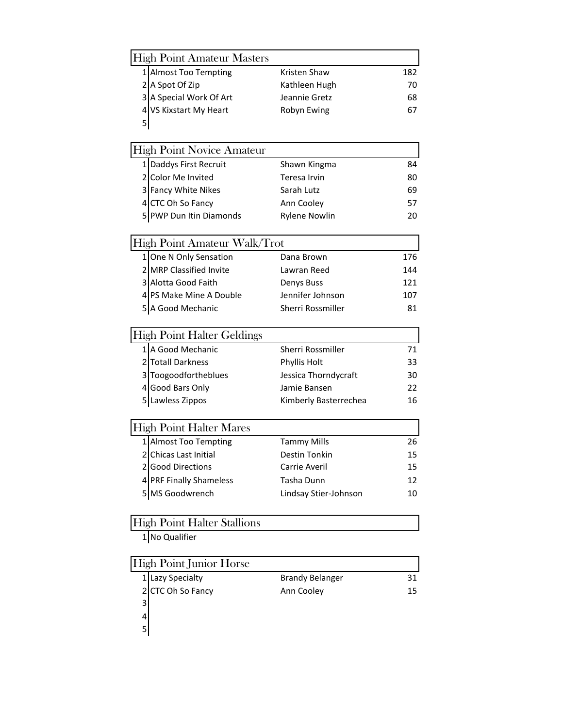|                                    | <b>High Point Amateur Masters</b> |                        |     |  |
|------------------------------------|-----------------------------------|------------------------|-----|--|
|                                    | 1 Almost Too Tempting             | Kristen Shaw           | 182 |  |
|                                    | 2 A Spot Of Zip                   | Kathleen Hugh          | 70  |  |
|                                    | 3 A Special Work Of Art           | Jeannie Gretz          | 68  |  |
|                                    | 4 VS Kixstart My Heart            | Robyn Ewing            | 67  |  |
| 5                                  |                                   |                        |     |  |
|                                    |                                   |                        |     |  |
|                                    | <b>High Point Novice Amateur</b>  |                        |     |  |
|                                    | 1 Daddys First Recruit            | Shawn Kingma           | 84  |  |
|                                    | 2 Color Me Invited                | <b>Teresa Irvin</b>    | 80  |  |
|                                    | 3 Fancy White Nikes               | Sarah Lutz             | 69  |  |
|                                    | 4 CTC Oh So Fancy                 | Ann Cooley             | 57  |  |
|                                    | 5 PWP Dun Itin Diamonds           | <b>Rylene Nowlin</b>   | 20  |  |
|                                    | High Point Amateur Walk/Trot      |                        |     |  |
|                                    | 1 One N Only Sensation            | Dana Brown             | 176 |  |
|                                    | 2 MRP Classified Invite           | Lawran Reed            | 144 |  |
|                                    | 3 Alotta Good Faith               | Denys Buss             | 121 |  |
|                                    | 4 PS Make Mine A Double           | Jennifer Johnson       | 107 |  |
|                                    | 5 A Good Mechanic                 | Sherri Rossmiller      | 81  |  |
|                                    |                                   |                        |     |  |
|                                    | <b>High Point Halter Geldings</b> |                        |     |  |
|                                    | 1 A Good Mechanic                 | Sherri Rossmiller      | 71  |  |
|                                    | 2 Totall Darkness                 | Phyllis Holt           | 33  |  |
|                                    | 3 Toogoodfortheblues              | Jessica Thorndycraft   | 30  |  |
|                                    | 4 Good Bars Only                  | Jamie Bansen           | 22  |  |
|                                    | 5 Lawless Zippos                  | Kimberly Basterrechea  | 16  |  |
|                                    | <b>High Point Halter Mares</b>    |                        |     |  |
|                                    | 1 Almost Too Tempting             | <b>Tammy Mills</b>     | 26  |  |
|                                    | 2 Chicas Last Initial             | <b>Destin Tonkin</b>   | 15  |  |
| ا 2                                | <b>Good Directions</b>            | Carrie Averil          | 15  |  |
|                                    | 4 PRF Finally Shameless           | Tasha Dunn             | 12  |  |
|                                    | 5 MS Goodwrench                   | Lindsay Stier-Johnson  | 10  |  |
|                                    |                                   |                        |     |  |
| <b>High Point Halter Stallions</b> |                                   |                        |     |  |
|                                    | 1 No Qualifier                    |                        |     |  |
|                                    | <b>High Point Junior Horse</b>    |                        |     |  |
|                                    | 1 Lazy Specialty                  | <b>Brandy Belanger</b> | 31  |  |
| 2                                  | CTC Oh So Fancy                   | Ann Cooley             | 15  |  |
| 3                                  |                                   |                        |     |  |
| 4                                  |                                   |                        |     |  |
| 5                                  |                                   |                        |     |  |